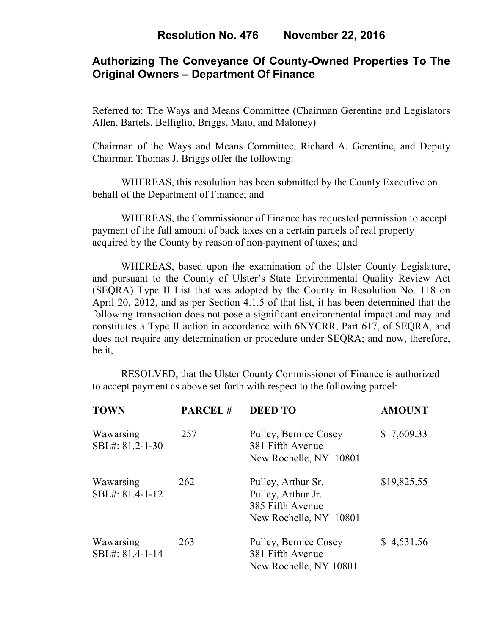## **Authorizing The Conveyance Of County-Owned Properties To The Original Owners – Department Of Finance**

Referred to: The Ways and Means Committee (Chairman Gerentine and Legislators Allen, Bartels, Belfiglio, Briggs, Maio, and Maloney)

Chairman of the Ways and Means Committee, Richard A. Gerentine, and Deputy Chairman Thomas J. Briggs offer the following:

WHEREAS, this resolution has been submitted by the County Executive on behalf of the Department of Finance; and

 WHEREAS, the Commissioner of Finance has requested permission to accept payment of the full amount of back taxes on a certain parcels of real property acquired by the County by reason of non-payment of taxes; and

WHEREAS, based upon the examination of the Ulster County Legislature, and pursuant to the County of Ulster's State Environmental Quality Review Act (SEQRA) Type II List that was adopted by the County in Resolution No. 118 on April 20, 2012, and as per Section 4.1.5 of that list, it has been determined that the following transaction does not pose a significant environmental impact and may and constitutes a Type II action in accordance with 6NYCRR, Part 617, of SEQRA, and does not require any determination or procedure under SEQRA; and now, therefore, be it,

 RESOLVED, that the Ulster County Commissioner of Finance is authorized to accept payment as above set forth with respect to the following parcel:

| <b>TOWN</b>                  | PARCEL# | <b>DEED TO</b>                                                                         | <b>AMOUNT</b> |
|------------------------------|---------|----------------------------------------------------------------------------------------|---------------|
| Wawarsing<br>SBL#: 81.2-1-30 | 257     | Pulley, Bernice Cosey<br>381 Fifth Avenue<br>New Rochelle, NY 10801                    | \$7,609.33    |
| Wawarsing<br>SBL#: 81.4-1-12 | 262     | Pulley, Arthur Sr.<br>Pulley, Arthur Jr.<br>385 Fifth Avenue<br>New Rochelle, NY 10801 | \$19,825.55   |
| Wawarsing<br>SBL#: 81.4-1-14 | 263     | Pulley, Bernice Cosey<br>381 Fifth Avenue<br>New Rochelle, NY 10801                    | \$4,531.56    |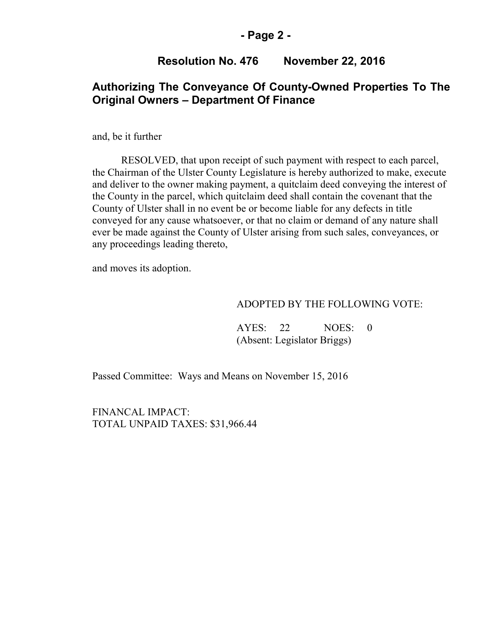### **- Page 2 -**

## **Resolution No. 476 November 22, 2016**

## **Authorizing The Conveyance Of County-Owned Properties To The Original Owners – Department Of Finance**

and, be it further

RESOLVED, that upon receipt of such payment with respect to each parcel, the Chairman of the Ulster County Legislature is hereby authorized to make, execute and deliver to the owner making payment, a quitclaim deed conveying the interest of the County in the parcel, which quitclaim deed shall contain the covenant that the County of Ulster shall in no event be or become liable for any defects in title conveyed for any cause whatsoever, or that no claim or demand of any nature shall ever be made against the County of Ulster arising from such sales, conveyances, or any proceedings leading thereto,

and moves its adoption.

#### ADOPTED BY THE FOLLOWING VOTE:

 AYES: 22 NOES: 0 (Absent: Legislator Briggs)

Passed Committee: Ways and Means on November 15, 2016

FINANCAL IMPACT: TOTAL UNPAID TAXES: \$31,966.44